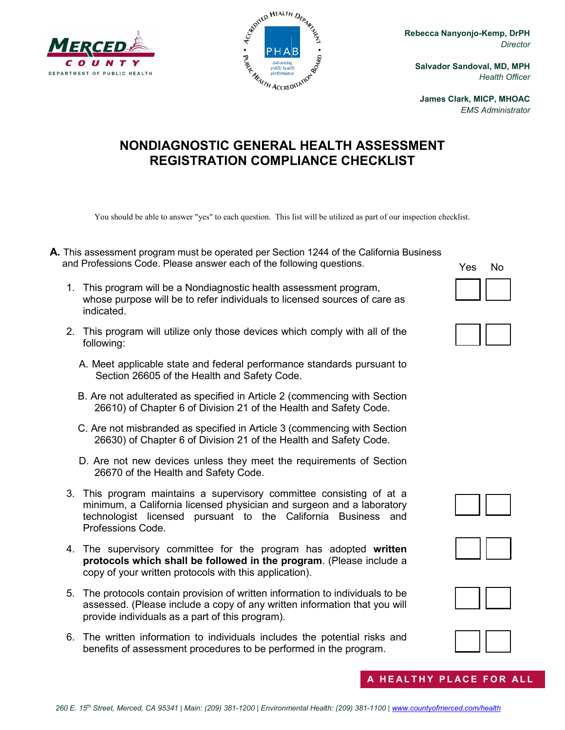



**Rebecca Nanyonjo-Kemp, DrPH** *Director*

**Salvador Sandoval, MD, MPH** *Health Officer*

**James Clark, MICP, MHOAC** *EMS Administrator*

## **NONDIAGNOSTIC GENERAL HEALTH ASSESSMENT REGISTRATION COMPLIANCE CHECKLIST**

You should be able to answer "yes" to each question. This list will be utilized as part of our inspection checklist.

- **A.** This assessment program must be operated per Section 1244 of the California Business and Professions Code. Please answer each of the following questions.
	- 1. This program will be a Nondiagnostic health assessment program, whose purpose will be to refer individuals to licensed sources of care as indicated.
	- 2. This program will utilize only those devices which comply with all of the following:
		- A. Meet applicable state and federal performance standards pursuant to Section 26605 of the Health and Safety Code.
		- B. Are not adulterated as specified in Article 2 (commencing with Section 26610) of Chapter 6 of Division 21 of the Health and Safety Code.
		- C. Are not misbranded as specified in Article 3 (commencing with Section 26630) of Chapter 6 of Division 21 of the Health and Safety Code.
		- D. Are not new devices unless they meet the requirements of Section 26670 of the Health and Safety Code.
	- 3. This program maintains a supervisory committee consisting of at a minimum, a California licensed physician and surgeon and a laboratory technologist licensed pursuant to the California Business and Professions Code.
	- 4. The supervisory committee for the program has adopted **written protocols which shall be followed in the program**. (Please include a copy of your written protocols with this application).
	- 5. The protocols contain provision of written information to individuals to be assessed. (Please include a copy of any written information that you will provide individuals as a part of this program).
	- 6. The written information to individuals includes the potential risks and benefits of assessment procedures to be performed in the program.

Yes No











**HEALTHY PLACE FOR ALL**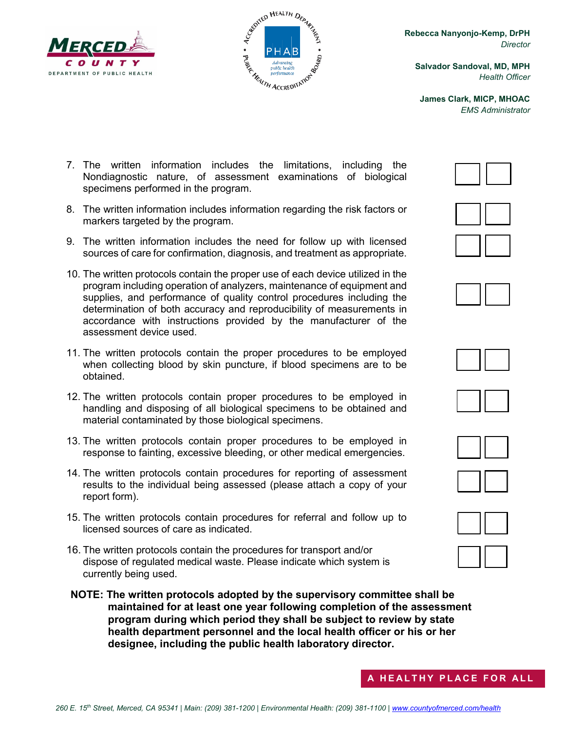



**Rebecca Nanyonjo-Kemp, DrPH** *Director*

**Salvador Sandoval, MD, MPH** *Health Officer*

**James Clark, MICP, MHOAC** *EMS Administrator*

- 7. The written information includes the limitations, including the Nondiagnostic nature, of assessment examinations of biological specimens performed in the program.
- 8. The written information includes information regarding the risk factors or markers targeted by the program.
- 9. The written information includes the need for follow up with licensed sources of care for confirmation, diagnosis, and treatment as appropriate.
- 10. The written protocols contain the proper use of each device utilized in the program including operation of analyzers, maintenance of equipment and supplies, and performance of quality control procedures including the determination of both accuracy and reproducibility of measurements in accordance with instructions provided by the manufacturer of the assessment device used.
- 11. The written protocols contain the proper procedures to be employed when collecting blood by skin puncture, if blood specimens are to be obtained.
- 12. The written protocols contain proper procedures to be employed in handling and disposing of all biological specimens to be obtained and material contaminated by those biological specimens.
- 13. The written protocols contain proper procedures to be employed in response to fainting, excessive bleeding, or other medical emergencies.
- 14. The written protocols contain procedures for reporting of assessment results to the individual being assessed (please attach a copy of your report form).
- 15. The written protocols contain procedures for referral and follow up to licensed sources of care as indicated.
- 16. The written protocols contain the procedures for transport and/or dispose of regulated medical waste. Please indicate which system is currently being used.
- **NOTE: The written protocols adopted by the supervisory committee shall be maintained for at least one year following completion of the assessment program during which period they shall be subject to review by state health department personnel and the local health officer or his or her designee, including the public health laboratory director.**

















**A HEALTHY PLACE FOR ALL**